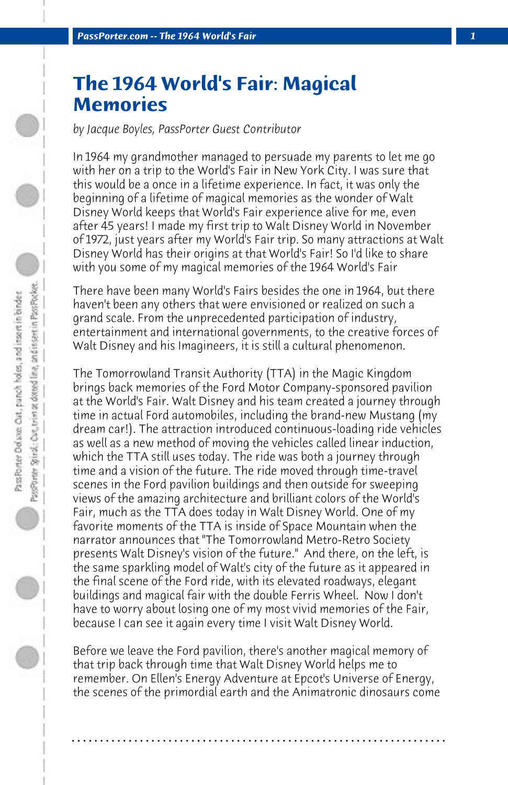## **The 1964 World's Fair: Magical Memories**

*by Jacque Boyles, PassPorter Guest Contributor*

In 1964 my grandmother managed to persuade my parents to let me go with her on a trip to the World's Fair in New York City. I was sure that this would be a once in a lifetime experience. In fact, it was only the beginning of a lifetime of magical memories as the wonder of Walt Disney World keeps that World's Fair experience alive for me, even after 45 years! I made my first trip to Walt Disney World in November of 1972, just years after my World's Fair trip. So many attractions at Walt Disney World has their origins at that World's Fair! So I'd like to share with you some of my magical memories of the 1964 World's Fair

There have been many World's Fairs besides the one in 1964, but there haven't been any others that were envisioned or realized on such a grand scale. From the unprecedented participation of industry, entertainment and international governments, to the creative forces of Walt Disney and his Imagineers, it is still a cultural phenomenon.

The Tomorrowland Transit Authority (TTA) in the Magic Kingdom brings back memories of the Ford Motor Company-sponsored pavilion at the World's Fair. Walt Disney and his team created a journey through time in actual Ford automobiles, including the brand-new Mustang (my dream car!). The attraction introduced continuous-loading ride vehicles as well as a new method of moving the vehicles called linear induction, which the TTA still uses today. The ride was both a journey through time and a vision of the future. The ride moved through time-travel scenes in the Ford pavilion buildings and then outside for sweeping views of the amazing architecture and brilliant colors of the World's Fair, much as the TTA does today in Walt Disney World. One of my favorite moments of the TTA is inside of Space Mountain when the narrator announces that "The Tomorrowland Metro-Retro Society presents Walt Disney's vision of the future." And there, on the left, is the same sparkling model of Walt's city of the future as it appeared in the final scene of the Ford ride, with its elevated roadways, elegant buildings and magical fair with the double Ferris Wheel. Now I don't have to worry about losing one of my most vivid memories of the Fair, because I can see it again every time I visit Walt Disney World.

Before we leave the Ford pavilion, there's another magical memory of that trip back through time that Walt Disney World helps me to remember. On Ellen's Energy Adventure at Epcot's Universe of Energy, the scenes of the primordial earth and the Animatronic dinosaurs come

**. . . . . . . . . . . . . . . . . . . . . . . . . . . . . . . . . . . . . . . . . . . . . . . . . . . . . . . . . . . . . . . . . .**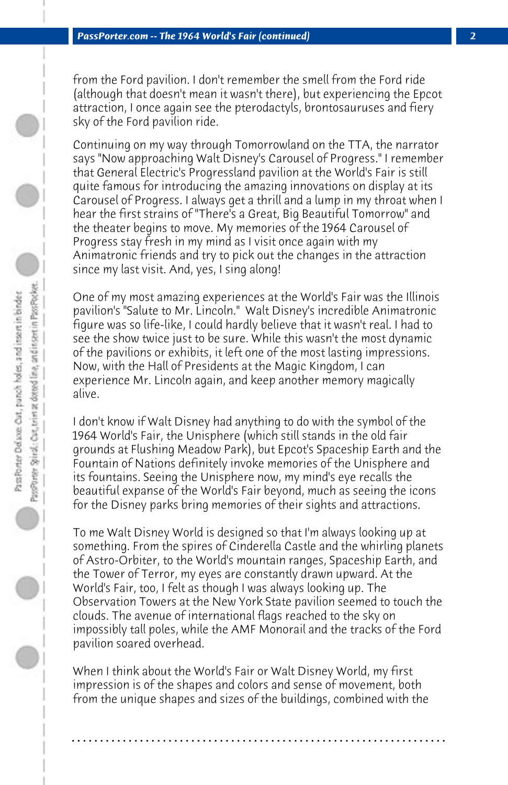from the Ford pavilion. I don't remember the smell from the Ford ride (although that doesn't mean it wasn't there), but experiencing the Epcot attraction, I once again see the pterodactyls, brontosauruses and fiery sky of the Ford pavilion ride.

Continuing on my way through Tomorrowland on the TTA, the narrator says "Now approaching Walt Disney's Carousel of Progress." I remember that General Electric's Progressland pavilion at the World's Fair is still quite famous for introducing the amazing innovations on display at its Carousel of Progress. I always get a thrill and a lump in my throat when I hear the first strains of "There's a Great, Big Beautiful Tomorrow" and the theater begins to move. My memories of the 1964 Carousel of Progress stay fresh in my mind as I visit once again with my Animatronic friends and try to pick out the changes in the attraction since my last visit. And, yes, I sing along!

One of my most amazing experiences at the World's Fair was the Illinois pavilion's "Salute to Mr. Lincoln." Walt Disney's incredible Animatronic figure was so life-like, I could hardly believe that it wasn't real. I had to see the show twice just to be sure. While this wasn't the most dynamic of the pavilions or exhibits, it left one of the most lasting impressions. Now, with the Hall of Presidents at the Magic Kingdom, I can experience Mr. Lincoln again, and keep another memory magically alive.

I don't know if Walt Disney had anything to do with the symbol of the 1964 World's Fair, the Unisphere (which still stands in the old fair grounds at Flushing Meadow Park), but Epcot's Spaceship Earth and the Fountain of Nations definitely invoke memories of the Unisphere and its fountains. Seeing the Unisphere now, my mind's eye recalls the beautiful expanse of the World's Fair beyond, much as seeing the icons for the Disney parks bring memories of their sights and attractions.

To me Walt Disney World is designed so that I'm always looking up at something. From the spires of Cinderella Castle and the whirling planets of Astro-Orbiter, to the World's mountain ranges, Spaceship Earth, and the Tower of Terror, my eyes are constantly drawn upward. At the World's Fair, too, I felt as though I was always looking up. The Observation Towers at the New York State pavilion seemed to touch the clouds. The avenue of international flags reached to the sky on impossibly tall poles, while the AMF Monorail and the tracks of the Ford pavilion soared overhead.

When I think about the World's Fair or Walt Disney World, my first impression is of the shapes and colors and sense of movement, both from the unique shapes and sizes of the buildings, combined with the

**. . . . . . . . . . . . . . . . . . . . . . . . . . . . . . . . . . . . . . . . . . . . . . . . . . . . . . . . . . . . . . . . . .**